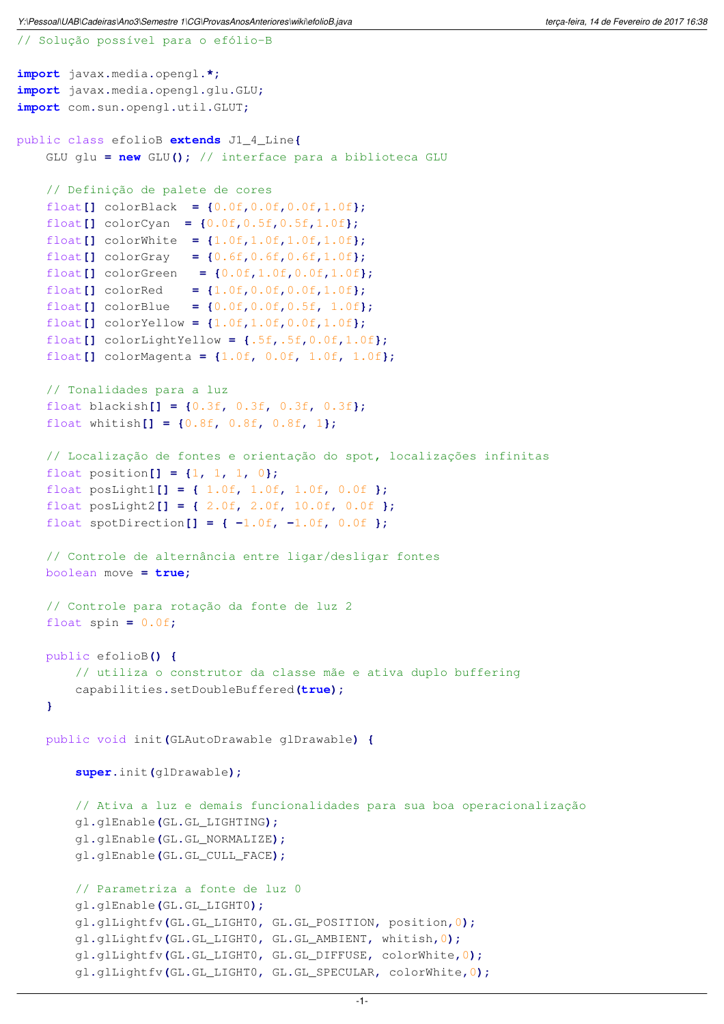Y:\Pessoal\UAB\Cadeiras\Ano3\Semestre 1\CG\ProvasAnosAnteriores\wiki\efolioB.java terram terram terca-feira, 14 de Fevereiro de 2017 16:38

```
// Solução possível para o efólio-B
import javax.media.opengl.*;
import javax.media.opengl.glu.GLU;
import com.sun.opengl.util.GLUT;
public class efolioB extends J1_4_Line{
    GLU glu = new GLU(); // interface para a biblioteca GLU
    // Definição de palete de cores
    float[] colorBlack = {0.0f,0.0f,0.0f,1.0f};
    float[] colorCyan = {0.0f,0.5f,0.5f,1.0f};
    float[] colorWhite = {1.0f,1.0f,1.0f,1.0f};
   float[] colorGray = {0.6f,0.6f,0.6f,1.0f};
    float[] colorGreen = {0.0f,1.0f,0.0f,1.0f};
    float[] colorRed = {1.0f,0.0f,0.0f,1.0f};
    float[] colorBlue = {0.0f,0.0f,0.5f, 1.0f};
    float[] colorYellow = {1.0f,1.0f,0.0f,1.0f};
    float[] colorLightYellow = {.5f,.5f,0.0f,1.0f};
    float[] colorMagenta = {1.0f, 0.0f, 1.0f, 1.0f};
    // Tonalidades para a luz
    float blackish[] = {0.3f, 0.3f, 0.3f, 0.3f};
    float whitish[] = {0.8f, 0.8f, 0.8f, 1};
    // Localização de fontes e orientação do spot, localizações infinitas
    float position[ ] = \{1, 1, 1, 0\};float posLight1[] = { 1.0f, 1.0f, 1.0f, 0.0f };
    float posLight2[] = { 2.0f, 2.0f, 10.0f, 0.0f };
    float spotDirection[] = { -1.0f, -1.0f, 0.0f };
    // Controle de alternância entre ligar/desligar fontes
   boolean move = true;
    // Controle para rotação da fonte de luz 2
    float spin = 0.0f;
   public efolioB() {
        // utiliza o construtor da classe mãe e ativa duplo buffering
        capabilities.setDoubleBuffered(true);
    }
   public void init(GLAutoDrawable glDrawable) {
        super.init(glDrawable);
        // Ativa a luz e demais funcionalidades para sua boa operacionalização
        gl.glEnable(GL.GL_LIGHTING);
        gl.glEnable(GL.GL_NORMALIZE);
        gl.glEnable(GL.GL_CULL_FACE);
        // Parametriza a fonte de luz 0
        gl.glEnable(GL.GL_LIGHT0);
        gl.glLightfv(GL.GL_LIGHT0, GL.GL_POSITION, position,0);
        gl.glLightfv(GL.GL_LIGHT0, GL.GL_AMBIENT, whitish,0);
        gl.glLightfv(GL.GL_LIGHT0, GL.GL_DIFFUSE, colorWhite,0);
        gl.glLightfv(GL.GL_LIGHT0, GL.GL_SPECULAR, colorWhite,0);
```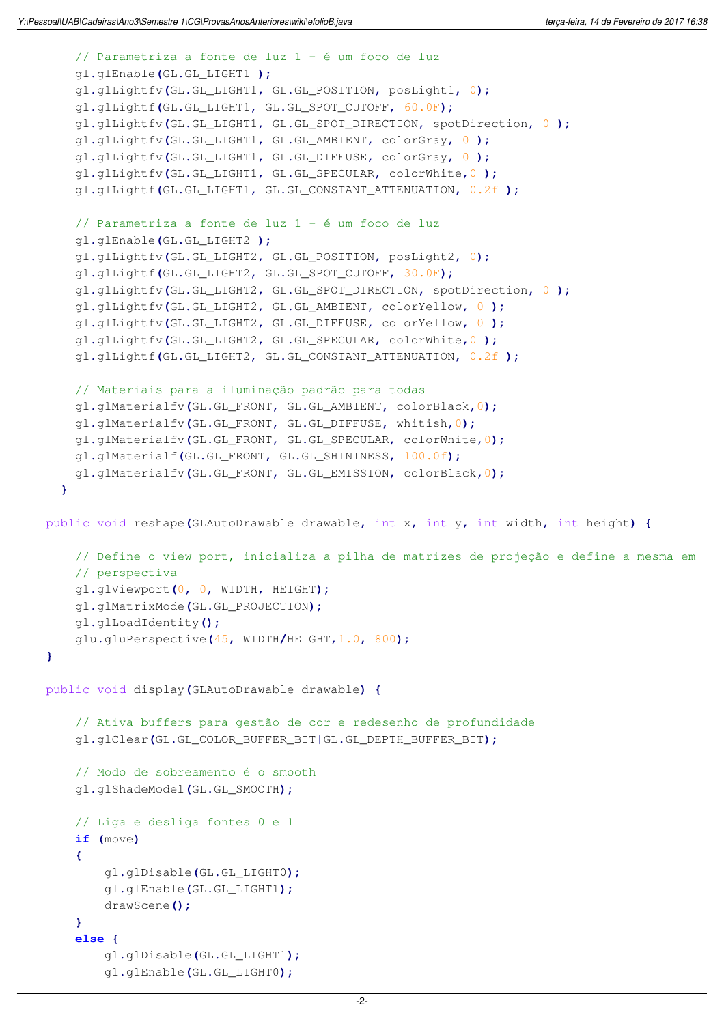```
// Parametriza a fonte de luz 1 - é um foco de luz
    gl.glEnable(GL.GL_LIGHT1 );
    gl.glLightfv(GL.GL_LIGHT1, GL.GL_POSITION, posLight1, 0);
    gl.glLightf(GL.GL_LIGHT1, GL.GL_SPOT_CUTOFF, 60.0F);
    gl.glLightfv(GL.GL_LIGHT1, GL.GL_SPOT_DIRECTION, spotDirection, 0 );
    gl.glLightfv(GL.GL_LIGHT1, GL.GL_AMBIENT, colorGray, 0 );
    gl.glLightfv(GL.GL_LIGHT1, GL.GL_DIFFUSE, colorGray, 0 );
    gl.glLightfv(GL.GL_LIGHT1, GL.GL_SPECULAR, colorWhite,0 );
    gl.glLightf(GL.GL_LIGHT1, GL.GL_CONSTANT_ATTENUATION, 0.2f );
    // Parametriza a fonte de luz 1 - é um foco de luz
    gl.glEnable(GL.GL_LIGHT2 );
    gl.glLightfv(GL.GL_LIGHT2, GL.GL_POSITION, posLight2, 0);
    gl.glLightf(GL.GL_LIGHT2, GL.GL_SPOT_CUTOFF, 30.0F);
    gl.glLightfv(GL.GL_LIGHT2, GL.GL_SPOT_DIRECTION, spotDirection, 0 );
    gl.glLightfv(GL.GL_LIGHT2, GL.GL_AMBIENT, colorYellow, 0 );
    gl.glLightfv(GL.GL_LIGHT2, GL.GL_DIFFUSE, colorYellow, 0 );
    gl.glLightfv(GL.GL_LIGHT2, GL.GL_SPECULAR, colorWhite,0 );
    gl.glLightf(GL.GL_LIGHT2, GL.GL_CONSTANT_ATTENUATION, 0.2f );
    // Materiais para a iluminação padrão para todas
    gl.glMaterialfv(GL.GL_FRONT, GL.GL_AMBIENT, colorBlack,0);
    gl.glMaterialfv(GL.GL_FRONT, GL.GL_DIFFUSE, whitish,0);
    gl.glMaterialfv(GL.GL_FRONT, GL.GL_SPECULAR, colorWhite,0);
   gl.glMaterialf(GL.GL_FRONT, GL.GL_SHININESS, 100.0f);
    gl.glMaterialfv(GL.GL_FRONT, GL.GL_EMISSION, colorBlack,0);
  }
public void reshape(GLAutoDrawable drawable, int x, int y, int width, int height) {
    // Define o view port, inicializa a pilha de matrizes de projeção e define a mesma em 
    // perspectiva
    gl.glViewport(0, 0, WIDTH, HEIGHT);
    gl.glMatrixMode(GL.GL_PROJECTION);
    gl.glLoadIdentity();
   glu.gluPerspective(45, WIDTH/HEIGHT,1.0, 800);
}
public void display(GLAutoDrawable drawable) {
    // Ativa buffers para gestão de cor e redesenho de profundidade
    gl.glClear(GL.GL_COLOR_BUFFER_BIT|GL.GL_DEPTH_BUFFER_BIT);
    // Modo de sobreamento é o smooth
    gl.glShadeModel(GL.GL_SMOOTH);
    // Liga e desliga fontes 0 e 1
    if (move)
    {
        gl.glDisable(GL.GL_LIGHT0);
        gl.glEnable(GL.GL_LIGHT1);
        drawScene();
    }
    else {
        gl.glDisable(GL.GL_LIGHT1);
        gl.glEnable(GL.GL_LIGHT0);
```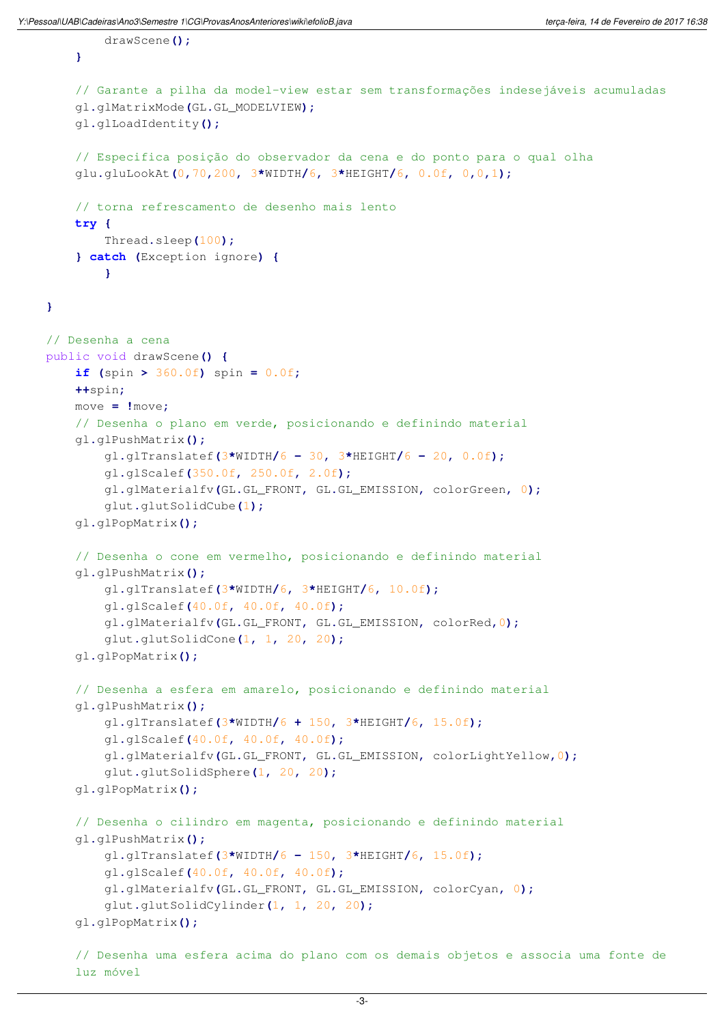drawScene**();**

**}**

luz móvel

```
}
    // Garante a pilha da model-view estar sem transformações indesejáveis acumuladas
    gl.glMatrixMode(GL.GL_MODELVIEW);
    gl.glLoadIdentity();
    // Especifica posição do observador da cena e do ponto para o qual olha
    glu.gluLookAt(0,70,200, 3*WIDTH/6, 3*HEIGHT/6, 0.0f, 0,0,1);
    // torna refrescamento de desenho mais lento
   try {
       Thread.sleep(100);
    } catch (Exception ignore) {
        }
// Desenha a cena
public void drawScene() {
    if (spin > 360.0f) spin = 0.0f;
   ++spin;
   move = !move;
    // Desenha o plano em verde, posicionando e definindo material
    gl.glPushMatrix();
        gl.glTranslatef(3*WIDTH/6 - 30, 3*HEIGHT/6 - 20, 0.0f);
        gl.glScalef(350.0f, 250.0f, 2.0f);
        gl.glMaterialfv(GL.GL_FRONT, GL.GL_EMISSION, colorGreen, 0);
        glut.glutSolidCube(1);
    gl.glPopMatrix();
    // Desenha o cone em vermelho, posicionando e definindo material
    gl.glPushMatrix();
        gl.glTranslatef(3*WIDTH/6, 3*HEIGHT/6, 10.0f);
        gl.glScalef(40.0f, 40.0f, 40.0f);
        gl.glMaterialfv(GL.GL_FRONT, GL.GL_EMISSION, colorRed,0);
        glut.glutSolidCone(1, 1, 20, 20);
    gl.glPopMatrix();
    // Desenha a esfera em amarelo, posicionando e definindo material
    gl.glPushMatrix();
        gl.glTranslatef(3*WIDTH/6 + 150, 3*HEIGHT/6, 15.0f);
        gl.glScalef(40.0f, 40.0f, 40.0f);
        gl.glMaterialfv(GL.GL_FRONT, GL.GL_EMISSION, colorLightYellow,0);
        glut.glutSolidSphere(1, 20, 20);
    gl.glPopMatrix();
    // Desenha o cilindro em magenta, posicionando e definindo material
    gl.glPushMatrix();
        gl.glTranslatef(3*WIDTH/6 - 150, 3*HEIGHT/6, 15.0f);
        gl.glScalef(40.0f, 40.0f, 40.0f);
        gl.glMaterialfv(GL.GL_FRONT, GL.GL_EMISSION, colorCyan, 0);
        glut.glutSolidCylinder(1, 1, 20, 20);
    gl.glPopMatrix();
    // Desenha uma esfera acima do plano com os demais objetos e associa uma fonte de
```
-3-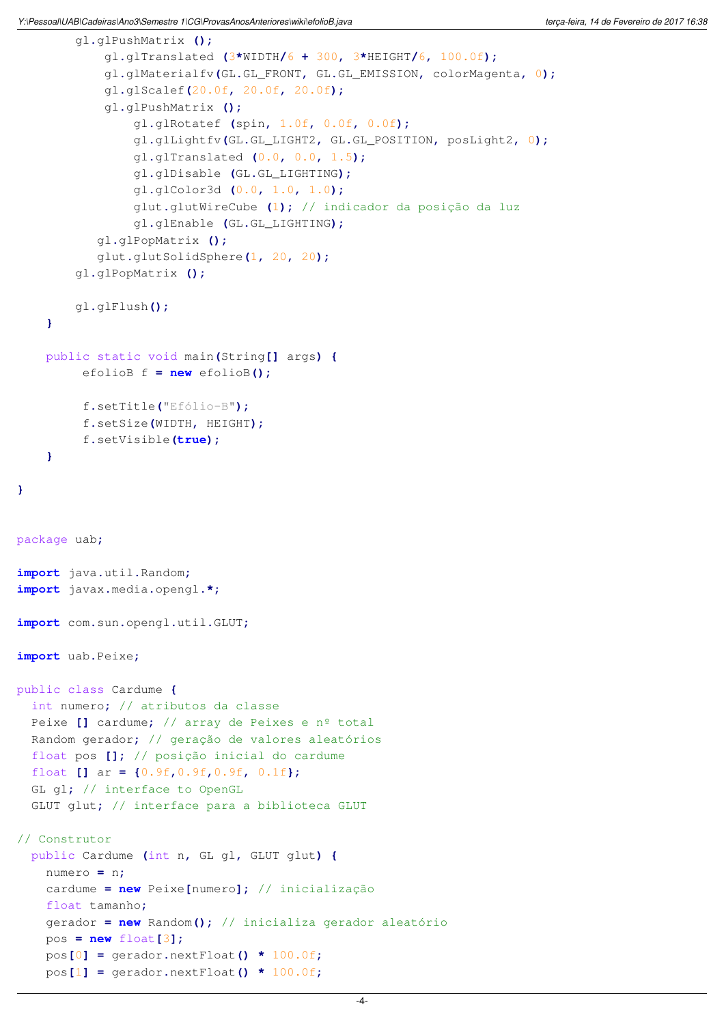```
gl.glPushMatrix ();
            gl.glTranslated (3*WIDTH/6 + 300, 3*HEIGHT/6, 100.0f);
            gl.glMaterialfv(GL.GL_FRONT, GL.GL_EMISSION, colorMagenta, 0);
            gl.glScalef(20.0f, 20.0f, 20.0f);
            gl.glPushMatrix ();
                gl.glRotatef (spin, 1.0f, 0.0f, 0.0f);
                gl.glLightfv(GL.GL_LIGHT2, GL.GL_POSITION, posLight2, 0);
                gl.glTranslated (0.0, 0.0, 1.5);
                gl.glDisable (GL.GL_LIGHTING);
                gl.glColor3d (0.0, 1.0, 1.0);
                glut.glutWireCube (1); // indicador da posição da luz
                gl.glEnable (GL.GL_LIGHTING);
           gl.glPopMatrix ();
           glut.glutSolidSphere(1, 20, 20);
        gl.glPopMatrix ();
        gl.glFlush();
    }
   public static void main(String[] args) {
         efolioB f = new efolioB();
         f.setTitle("Efólio-B");
         f.setSize(WIDTH, HEIGHT);
         f.setVisible(true);
    }
}
package uab;
import java.util.Random;
import javax.media.opengl.*;
import com.sun.opengl.util.GLUT;
import uab.Peixe;
public class Cardume {
 int numero; // atributos da classe
 Peixe [] cardume; // array de Peixes e nº total
 Random gerador; // geração de valores aleatórios
 float pos []; // posição inicial do cardume
 float [] ar = {0.9f,0.9f,0.9f, 0.1f};
 GL gl; // interface to OpenGL
 GLUT glut; // interface para a biblioteca GLUT
// Construtor
 public Cardume (int n, GL gl, GLUT glut) {
   numero = n;
   cardume = new Peixe[numero]; // inicialização
   float tamanho;
   gerador = new Random(); // inicializa gerador aleatório
   pos = new float[3];
   pos[0] = gerador.nextFloat() * 100.0f;
```
pos**[**1**] =** gerador**.**nextFloat**() \*** 100.0f**;**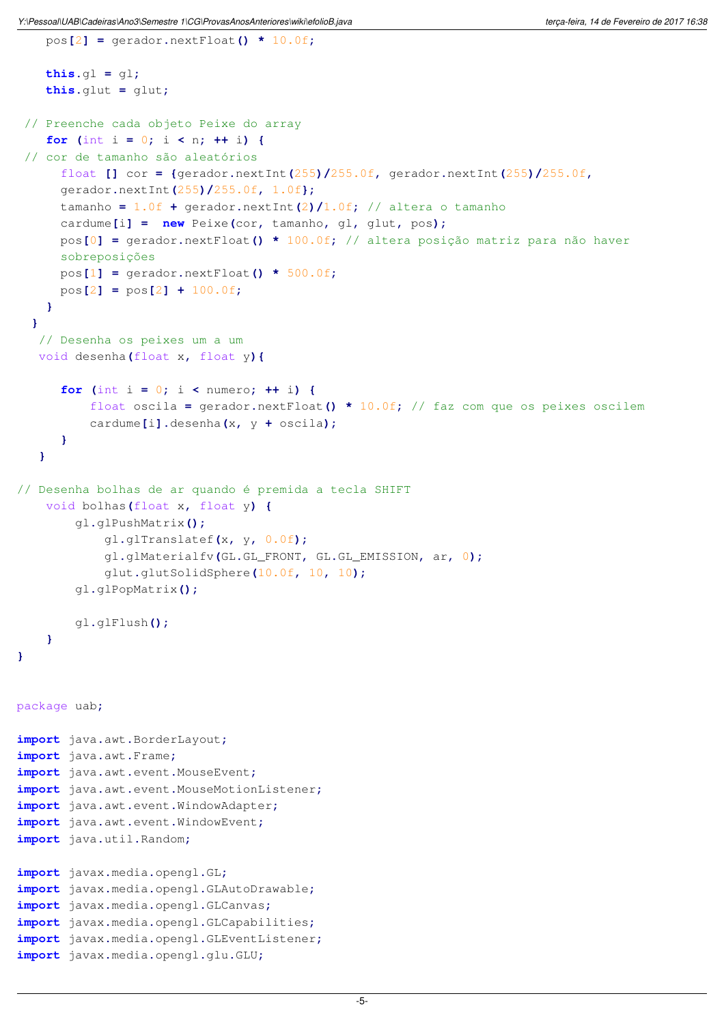pos**[**2**] =** gerador**.**nextFloat**() \*** 10.0f**;**

```
this.gl = gl;
   this.glut = glut;
 // Preenche cada objeto Peixe do array
    for (int i = 0; i < n; ++ i)// cor de tamanho são aleatórios
      float [] cor = {gerador.nextInt(255)/255.0f, gerador.nextInt(255)/255.0f,
      gerador.nextInt(255)/255.0f, 1.0f};
      tamanho = 1.0f + gerador.nextInt(2)/1.0f; // altera o tamanho
      cardume[i] = new Peixe(cor, tamanho, gl, glut, pos);
      pos[0] = gerador.nextFloat() * 100.0f; // altera posição matriz para não haver 
      sobreposições
      pos[1] = gerador.nextFloat() * 500.0f;
      pos[2] = pos[2] + 100.0f;
    }
  }
   // Desenha os peixes um a um 
  void desenha(float x, float y){
      for (int i = 0; i < number>i + i) {
          float oscila = gerador.nextFloat() * 10.0f; // faz com que os peixes oscilem
          cardume[i].desenha(x, y + oscila);
      }
   }
// Desenha bolhas de ar quando é premida a tecla SHIFT
   void bolhas(float x, float y) {
        gl.glPushMatrix();
            gl.glTranslatef(x, y, 0.0f);
            gl.glMaterialfv(GL.GL_FRONT, GL.GL_EMISSION, ar, 0);
            glut.glutSolidSphere(10.0f, 10, 10);
        gl.glPopMatrix();
        gl.glFlush();
   }
}
package uab;
import java.awt.BorderLayout;
import java.awt.Frame;
import java.awt.event.MouseEvent;
import java.awt.event.MouseMotionListener;
import java.awt.event.WindowAdapter;
import java.awt.event.WindowEvent;
import java.util.Random;
import javax.media.opengl.GL;
import javax.media.opengl.GLAutoDrawable;
import javax.media.opengl.GLCanvas;
import javax.media.opengl.GLCapabilities;
import javax.media.opengl.GLEventListener;
import javax.media.opengl.glu.GLU;
```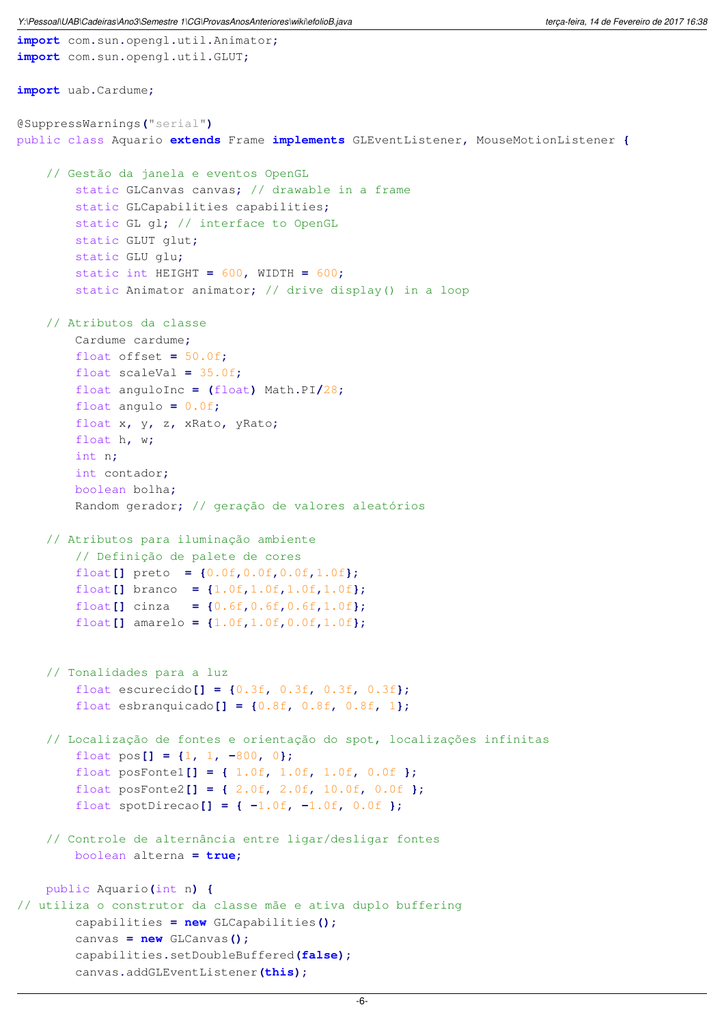**import** com**.**sun**.**opengl**.**util**.**Animator**;**

```
import com.sun.opengl.util.GLUT;
import uab.Cardume;
@SuppressWarnings("serial")
public class Aquario extends Frame implements GLEventListener, MouseMotionListener {
    // Gestão da janela e eventos OpenGL
        static GLCanvas canvas; // drawable in a frame
        static GLCapabilities capabilities;
        static GL gl; // interface to OpenGL
        static GLUT glut;
        static GLU glu;
        static int HEIGHT = 600, WIDTH = 600;
        static Animator animator; // drive display() in a loop
    // Atributos da classe
        Cardume cardume;
        float offset = 50.0f;
        float scaleVal = 35.0f;
        float anguloInc = (float) Math.PI/28;
        float angulo = 0.0f;
        float x, y, z, xRato, yRato;
        float h, w;
        int n;
       int contador;
       boolean bolha;
        Random gerador; // geração de valores aleatórios
    // Atributos para iluminação ambiente
        // Definição de palete de cores
        float[] preto = {0.0f,0.0f,0.0f,1.0f};
        float[] branco = {1.0f,1.0f,1.0f,1.0f};
        float[] cinza = {0.6f,0.6f,0.6f,1.0f};
        float[] amarelo = {1.0f,1.0f,0.0f,1.0f};
    // Tonalidades para a luz
        float escurecido[] = {0.3f, 0.3f, 0.3f, 0.3f};
        float esbranquicado[] = {0.8f, 0.8f, 0.8f, 1};
    // Localização de fontes e orientação do spot, localizações infinitas
        float pos[] = \{1, 1, -800, 0\};float posFonte1[] = { 1.0f, 1.0f, 1.0f, 0.0f };
        float posFonte2[] = { 2.0f, 2.0f, 10.0f, 0.0f };
        float spotDirecao[] = { -1.0f, -1.0f, 0.0f };
    // Controle de alternância entre ligar/desligar fontes
        boolean alterna = true;
   public Aquario(int n) {
// utiliza o construtor da classe mãe e ativa duplo buffering
        capabilities = new GLCapabilities();
        canvas = new GLCanvas();
        capabilities.setDoubleBuffered(false);
        canvas.addGLEventListener(this);
```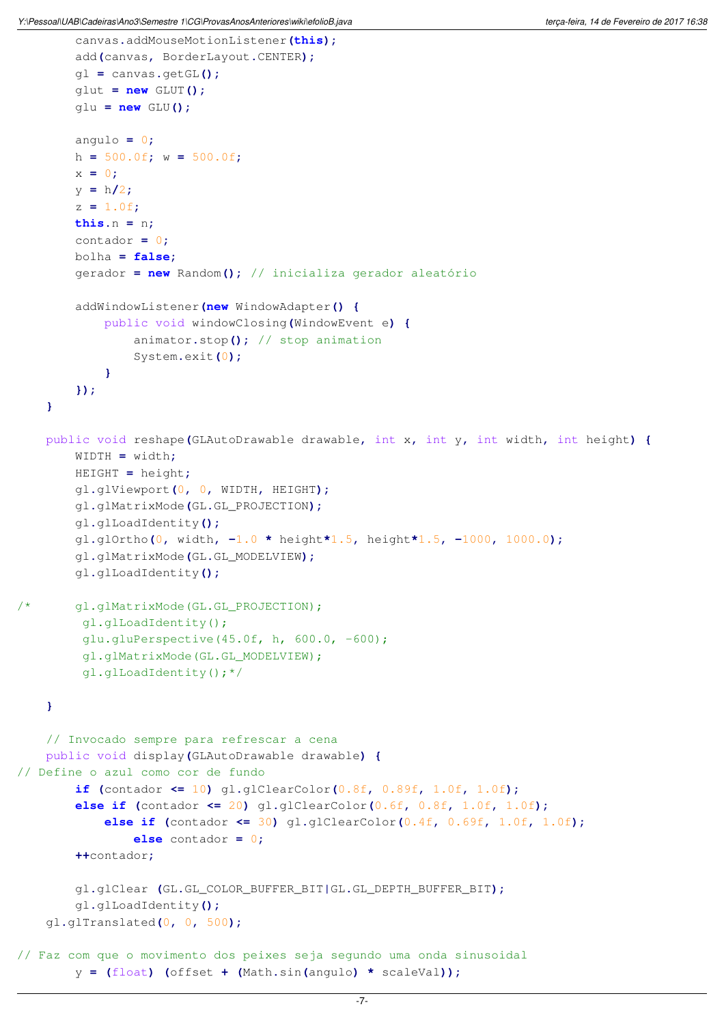```
canvas.addMouseMotionListener(this);
        add(canvas, BorderLayout.CENTER);
        gl = canvas.getGL();
        glut = new GLUT();
        glu = new GLU();
        angulo = 0;
        h = 500.0f; w = 500.0f;
        x = 0;
        y = h/2;
        z = 1.0f;
       this.n = n;
        contador = 0;
       bolha = false;
        gerador = new Random(); // inicializa gerador aleatório
        addWindowListener(new WindowAdapter() {
            public void windowClosing(WindowEvent e) {
                animator.stop(); // stop animation
                System.exit(0);
            }
        });
    }
   public void reshape(GLAutoDrawable drawable, int x, int y, int width, int height) {
        WIDTH = width;
        HEIGHT = height;
        gl.glViewport(0, 0, WIDTH, HEIGHT);
        gl.glMatrixMode(GL.GL_PROJECTION);
        gl.glLoadIdentity();
        gl.glOrtho(0, width, -1.0 * height*1.5, height*1.5, -1000, 1000.0);
        gl.glMatrixMode(GL.GL_MODELVIEW);
        gl.glLoadIdentity();
/* gl.glMatrixMode(GL.GL_PROJECTION);
         gl.glLoadIdentity();
          glu.gluPerspective(45.0f, h, 600.0, -600);
          gl.glMatrixMode(GL.GL_MODELVIEW);
          gl.glLoadIdentity();*/
   }
    // Invocado sempre para refrescar a cena
    public void display(GLAutoDrawable drawable) {
// Define o azul como cor de fundo
        if (contador <= 10) gl.glClearColor(0.8f, 0.89f, 1.0f, 1.0f);
        else if (contador <= 20) gl.glClearColor(0.6f, 0.8f, 1.0f, 1.0f);
            else if (contador <= 30) gl.glClearColor(0.4f, 0.69f, 1.0f, 1.0f);
                else contador = 0;
        ++contador;
        gl.glClear (GL.GL_COLOR_BUFFER_BIT|GL.GL_DEPTH_BUFFER_BIT);
        gl.glLoadIdentity();
   gl.glTranslated(0, 0, 500);
// Faz com que o movimento dos peixes seja segundo uma onda sinusoidal 
        y = (float) (offset + (Math.sin(angulo) * scaleVal));
```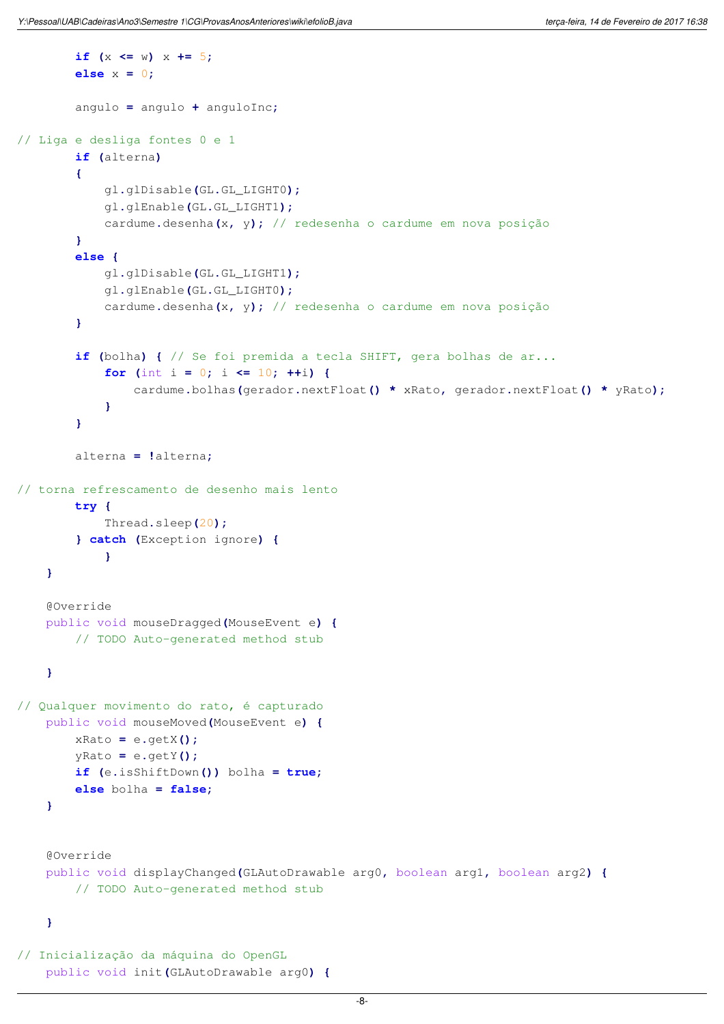```
if (x \leq w) \leq x \neq 5;else x = 0;
        angulo = angulo + anguloInc;
// Liga e desliga fontes 0 e 1
        if (alterna)
        {
            gl.glDisable(GL.GL_LIGHT0);
            gl.glEnable(GL.GL_LIGHT1);
            cardume.desenha(x, y); // redesenha o cardume em nova posição
        }
        else {
            gl.glDisable(GL.GL_LIGHT1);
            gl.glEnable(GL.GL_LIGHT0);
            cardume.desenha(x, y); // redesenha o cardume em nova posição
        }
        if (bolha) { // Se foi premida a tecla SHIFT, gera bolhas de ar...
            for (int i = 0; i <= 10; ++i) {
                cardume.bolhas(gerador.nextFloat() * xRato, gerador.nextFloat() * yRato);
            }
        }
        alterna = !alterna;
// torna refrescamento de desenho mais lento
        try {
            Thread.sleep(20);
        } catch (Exception ignore) {
            }
    }
    @Override
    public void mouseDragged(MouseEvent e) {
        // TODO Auto-generated method stub
    }
// Qualquer movimento do rato, é capturado
    public void mouseMoved(MouseEvent e) {
        xRato = e.getX();
        yRato = e.getY();
        if (e.isShiftDown()) bolha = true;
        else bolha = false;
    }
    @Override
    public void displayChanged(GLAutoDrawable arg0, boolean arg1, boolean arg2) {
        // TODO Auto-generated method stub
    }
// Inicialização da máquina do OpenGL
    public void init(GLAutoDrawable arg0) {
```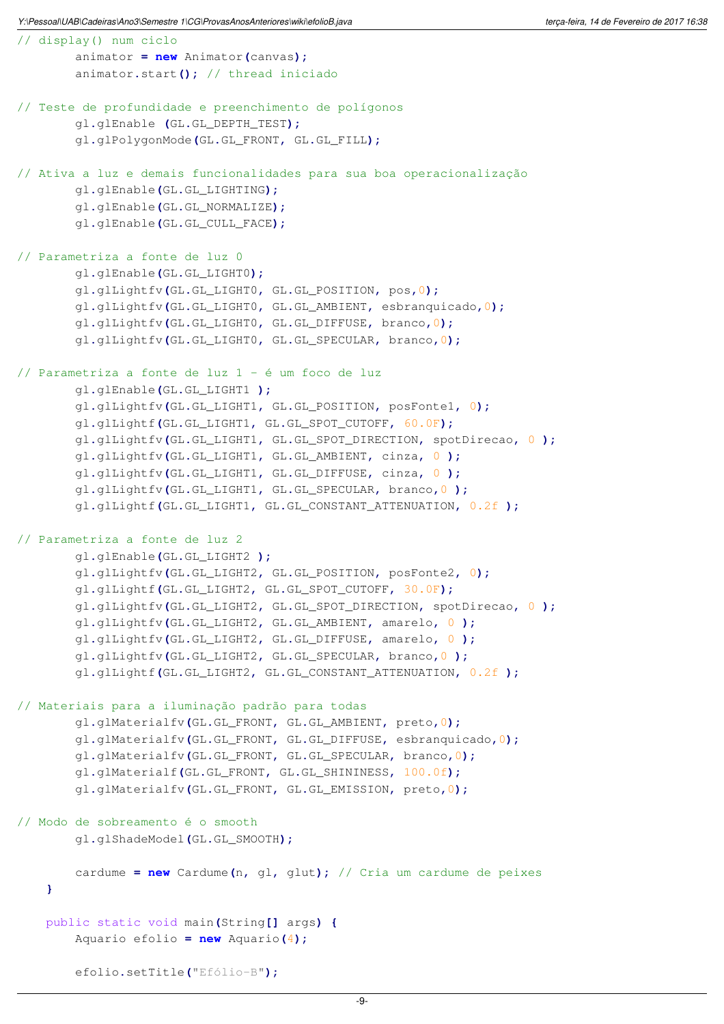```
// display() num ciclo
        animator = new Animator(canvas);
        animator.start(); // thread iniciado
// Teste de profundidade e preenchimento de polígonos
        gl.glEnable (GL.GL_DEPTH_TEST);
        gl.glPolygonMode(GL.GL_FRONT, GL.GL_FILL);
// Ativa a luz e demais funcionalidades para sua boa operacionalização
        gl.glEnable(GL.GL_LIGHTING);
        gl.glEnable(GL.GL_NORMALIZE);
        gl.glEnable(GL.GL_CULL_FACE);
// Parametriza a fonte de luz 0
        gl.glEnable(GL.GL_LIGHT0);
        gl.glLightfv(GL.GL_LIGHT0, GL.GL_POSITION, pos,0);
        gl.glLightfv(GL.GL_LIGHT0, GL.GL_AMBIENT, esbranquicado,0);
        gl.glLightfv(GL.GL_LIGHT0, GL.GL_DIFFUSE, branco,0);
        gl.glLightfv(GL.GL_LIGHT0, GL.GL_SPECULAR, branco,0);
// Parametriza a fonte de luz 1 - é um foco de luz
        gl.glEnable(GL.GL_LIGHT1 );
        gl.glLightfv(GL.GL_LIGHT1, GL.GL_POSITION, posFonte1, 0);
        gl.glLightf(GL.GL_LIGHT1, GL.GL_SPOT_CUTOFF, 60.0F);
        gl.glLightfv(GL.GL_LIGHT1, GL.GL_SPOT_DIRECTION, spotDirecao, 0 );
        gl.glLightfv(GL.GL_LIGHT1, GL.GL_AMBIENT, cinza, 0 );
        gl.glLightfv(GL.GL_LIGHT1, GL.GL_DIFFUSE, cinza, 0 );
        gl.glLightfv(GL.GL_LIGHT1, GL.GL_SPECULAR, branco,0 );
        gl.glLightf(GL.GL_LIGHT1, GL.GL_CONSTANT_ATTENUATION, 0.2f );
// Parametriza a fonte de luz 2 
        gl.glEnable(GL.GL_LIGHT2 );
        gl.glLightfv(GL.GL_LIGHT2, GL.GL_POSITION, posFonte2, 0);
        gl.glLightf(GL.GL_LIGHT2, GL.GL_SPOT_CUTOFF, 30.0F);
        gl.glLightfv(GL.GL_LIGHT2, GL.GL_SPOT_DIRECTION, spotDirecao, 0 );
        gl.glLightfv(GL.GL_LIGHT2, GL.GL_AMBIENT, amarelo, 0 );
        gl.glLightfv(GL.GL_LIGHT2, GL.GL_DIFFUSE, amarelo, 0 );
        gl.glLightfv(GL.GL_LIGHT2, GL.GL_SPECULAR, branco,0 );
        gl.glLightf(GL.GL_LIGHT2, GL.GL_CONSTANT_ATTENUATION, 0.2f );
// Materiais para a iluminação padrão para todas
        gl.glMaterialfv(GL.GL_FRONT, GL.GL_AMBIENT, preto,0);
        gl.glMaterialfv(GL.GL_FRONT, GL.GL_DIFFUSE, esbranquicado,0);
        gl.glMaterialfv(GL.GL_FRONT, GL.GL_SPECULAR, branco,0);
        gl.glMaterialf(GL.GL_FRONT, GL.GL_SHININESS, 100.0f);
        gl.glMaterialfv(GL.GL_FRONT, GL.GL_EMISSION, preto,0);
// Modo de sobreamento é o smooth
        gl.glShadeModel(GL.GL_SMOOTH);
        cardume = new Cardume(n, gl, glut); // Cria um cardume de peixes
    }
   public static void main(String[] args) {
        Aquario efolio = new Aquario(4);
        efolio.setTitle("Efólio-B");
```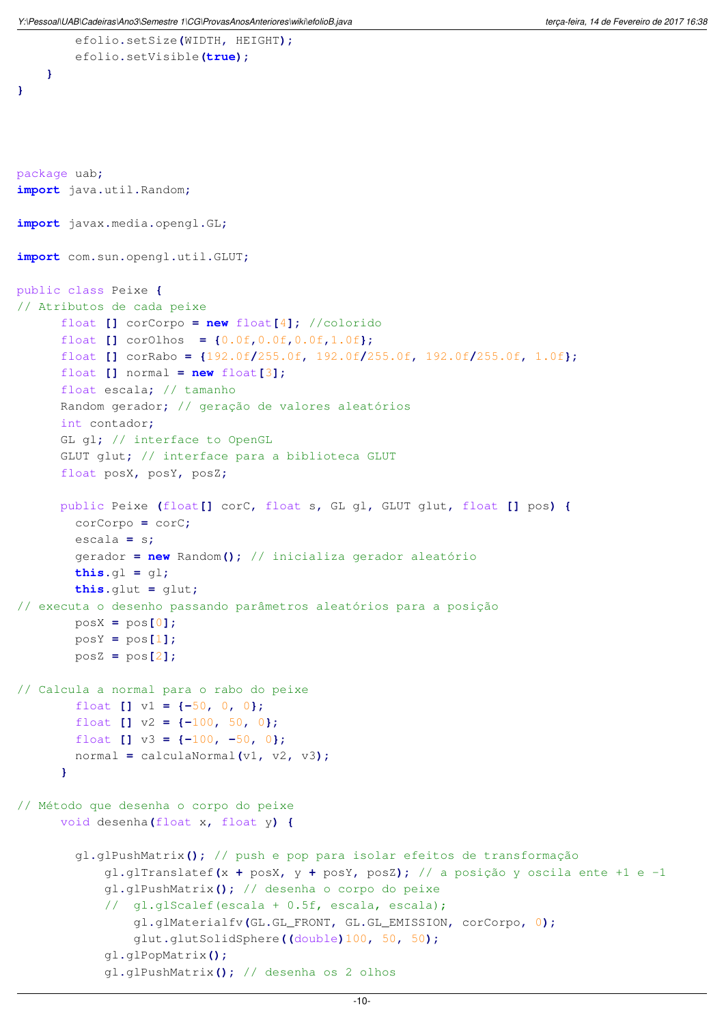```
efolio.setVisible(true);
    }
}
package uab;
import java.util.Random;
import javax.media.opengl.GL;
import com.sun.opengl.util.GLUT;
public class Peixe {
// Atributos de cada peixe
      float [] corCorpo = new float[4]; //colorido
      float [] corOlhos = {0.0f,0.0f,0.0f,1.0f};
      float [] corRabo = {192.0f/255.0f, 192.0f/255.0f, 192.0f/255.0f, 1.0f};
      float [ ] normal = new float [3];
      float escala; // tamanho
      Random gerador; // geração de valores aleatórios
      int contador;
      GL gl; // interface to OpenGL
      GLUT glut; // interface para a biblioteca GLUT
      float posX, posY, posZ;
      public Peixe (float[] corC, float s, GL gl, GLUT glut, float [] pos) {
        corCorpo = corC;
        escala = s;
        gerador = new Random(); // inicializa gerador aleatório
        this.gl = gl;
        this.glut = glut;
// executa o desenho passando parâmetros aleatórios para a posição 
        posX = pos[0];
        posY = pos[1];
        posZ = pos[2];
// Calcula a normal para o rabo do peixe
        float [] v1 = {-50, 0, 0};
        float [] v2 = {-100, 50, 0};
        float [] v3 = {-100, -50, 0};
        normal = calculaNormal(v1, v2, v3);
      }
// Método que desenha o corpo do peixe 
      void desenha(float x, float y) {
        gl.glPushMatrix(); // push e pop para isolar efeitos de transformação
            gl.glTranslatef(x + posX, y + posY, posZ); // a posição y oscila ente +1 e -1
            gl.glPushMatrix(); // desenha o corpo do peixe
            // gl.glScalef(escala + 0.5f, escala, escala);
                gl.glMaterialfv(GL.GL_FRONT, GL.GL_EMISSION, corCorpo, 0);
                glut.glutSolidSphere((double)100, 50, 50);
            gl.glPopMatrix();
            gl.glPushMatrix(); // desenha os 2 olhos
```